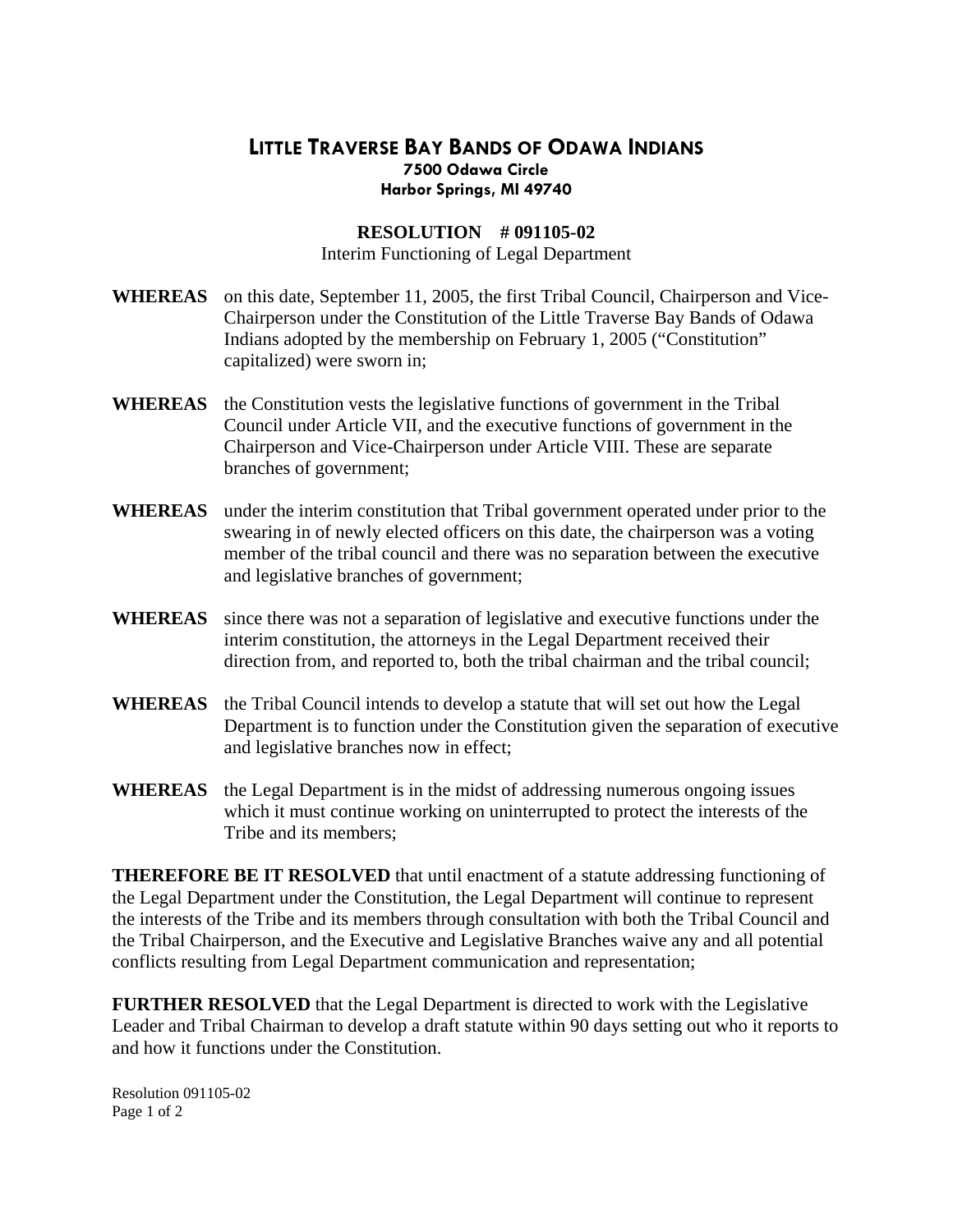## **LITTLE TRAVERSE BAY BANDS OF ODAWA INDIANS Harbor Springs, MI 49740 7500 Odawa Circle**

## **RESOLUTION # 091105-02**

Interim Functioning of Legal Department

- WHEREAS on this date, September 11, 2005, the first Tribal Council, Chairperson and Vice-Chairperson under the Constitution of the Little Traverse Bay Bands of Odawa Indians adopted by the membership on February 1, 2005 ("Constitution" capitalized) were sworn in;
- WHEREAS the Constitution vests the legislative functions of government in the Tribal Council under Article VII, and the executive functions of government in the Chairperson and Vice-Chairperson under Article VIII. These are separate branches of government;
- **WHEREAS** under the interim constitution that Tribal government operated under prior to the member of the tribal council and there was no separation between the executive and legislative branches of government; swearing in of newly elected officers on this date, the chairperson was a voting
- **WHEREAS** since there was not a separation of legislative and executive functions under the direction from, and reported to, both the tribal chairman and the tribal council; interim constitution, the attorneys in the Legal Department received their
- WHEREAS the Tribal Council intends to develop a statute that will set out how the Legal Department is to function under the Constitution given the separation of executive and legislative branches now in effect;
- WHEREAS the Legal Department is in the midst of addressing numerous ongoing issues which it must continue working on uninterrupted to protect the interests of the Tribe and its members;

the Tribal Chairperson, and the Executive and Legislative Branches waive any and all potential conflicts resulting from Legal Department communication and representation; **THEREFORE BE IT RESOLVED** that until enactment of a statute addressing functioning of the Legal Department under the Constitution, the Legal Department will continue to represent the interests of the Tribe and its members through consultation with both the Tribal Council and

Leader and Tribal Chairman to develop a draft statute within 90 days setting out who it reports to and how it functions under the Constitution. **FURTHER RESOLVED** that the Legal Department is directed to work with the Legislative

Resolution 091105-02 Page 1 of 2